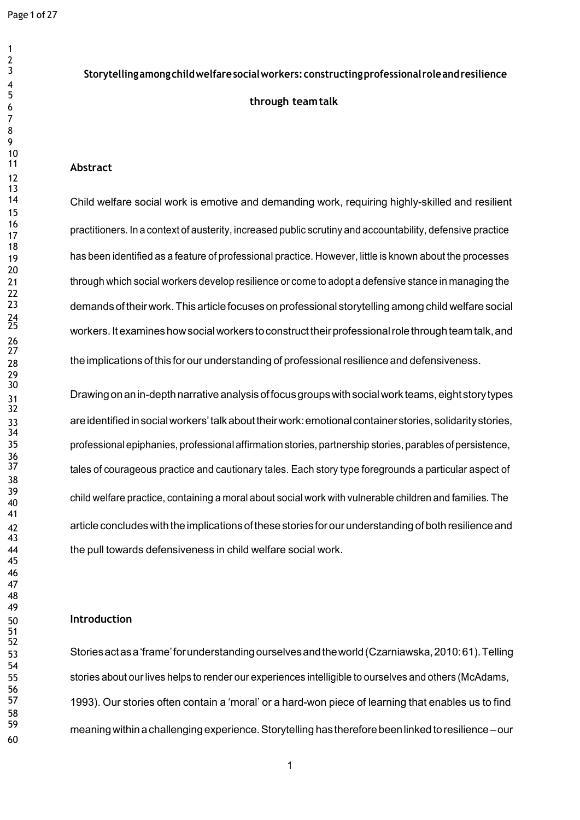# **Storytellingamongchildwelfaresocialworkers:constructingprofessional roleandresilience through teamtalk**

### **Abstract**

 Child welfare social work is emotive and demanding work, requiring highly-skilled and resilient practitioners. In <sup>a</sup> context of austerity, increased public scrutiny and accountability, defensive practice 19 has been identified as a feature of professional practice. However, little is known about the processes through which social workers develop resilience or come to adopt a defensive stance in managing the demands of their work.This articlefocuses on professional storytelling among child welfare social workers. It examines how social workers to construct their professional role through team talk, and 28 the implications of this for our understanding of professional resilience and defensiveness.

 Drawing onanin-depthnarrativeanalysisoffocusgroupswithsocialwork teams,eightstorytypes areidentifiedinsocialworkers'talkabouttheirwork:emotionalcontainerstories, solidaritystories, professional epiphanies, professional affirmation stories, partnership stories, parables of persistence, 37 tales of courageous practice and cautionary tales. Each story type foregrounds a particular aspect of child welfare practice, containing <sup>a</sup> moral about social work with vulnerable children and families. The 42 article concludes with the implications of these stories for our understanding of both resilience and the pull towards defensiveness in child welfare social work.

### **Introduction**

 Storiesactasa'frame'forunderstandingourselvesandtheworld(Czarniawska,2010:61).Telling stories about our lives helps to render our experiences intelligible to ourselves and others (McAdams, 1993). Our stories often contain a 'moral' or a hard-won piece of learning that enables us to find meaningwithin achallenging experience.Storytelling hasthereforebeenlinked toresilience –our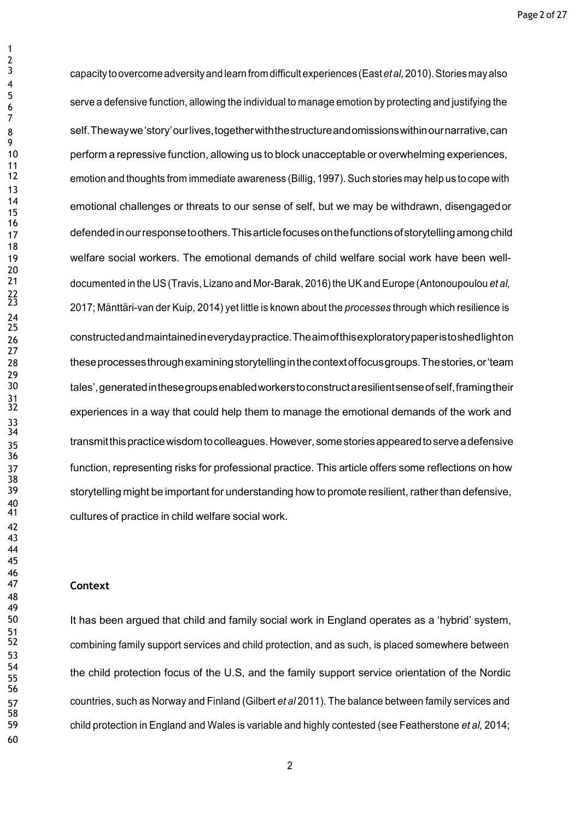capacity toovercome adversityandlearn from difficult experiences (East*etal,*2010).Stories mayalso serve a defensive function, allowing the individual to manage emotion by protecting and justifying the self.Thewaywe'story'ourlives,togetherwiththestructureandomissionswithinournarrative,can perform a repressive function, allowing us to block unacceptable or overwhelming experiences, emotion and thoughts from immediate awareness (Billig, 1997). Such stories may help us to cope with **emotional challenges or threats to our sense of self**, but we may be withdrawn, disengaged or 17 defended in our response to others. This article focuses on the functions of storytelling among child welfare social workers. The emotional demands of child welfare social work have been well- documented in the US(Travis, Lizano and Mor-Barak, 2016)the UKand Europe (Antonoupoulou *et al,* 2017; Mänttäri-van der Kuip, 2014) yet little is known about the *processes* through which resilience is constructedandmaintainedineverydaypractice.Theaimofthisexploratorypaperistoshedlighton theseprocessesthroughexaminingstorytellinginthecontextoffocusgroups.Thestories,or'team tales',generatedinthesegroupsenabledworkerstoconstructaresilientsenseofself,framingtheir experiences in a way that could help them to manage the emotional demands of the work and 35 transmit this practice wisdom to colleagues. However, some stories appeared to serve a defensive function, representing risks for professional practice. This article offers some reflections on how storytelling might be important for understanding how to promote resilient, rather than defensive, cultures of practice in child welfare social work.

### **Context**

 It has been argued that child and family social work in England operates as a 'hybrid' system, combining family support services and child protection, and as such, is placed somewhere between the child protection focus of the U.S, and the family support service orientation of the Nordic countries, such as Norway and Finland (Gilbert *et al* 2011). The balance between family services and child protection in England and Wales is variable and highly contested (see Featherstone *et al,* 2014;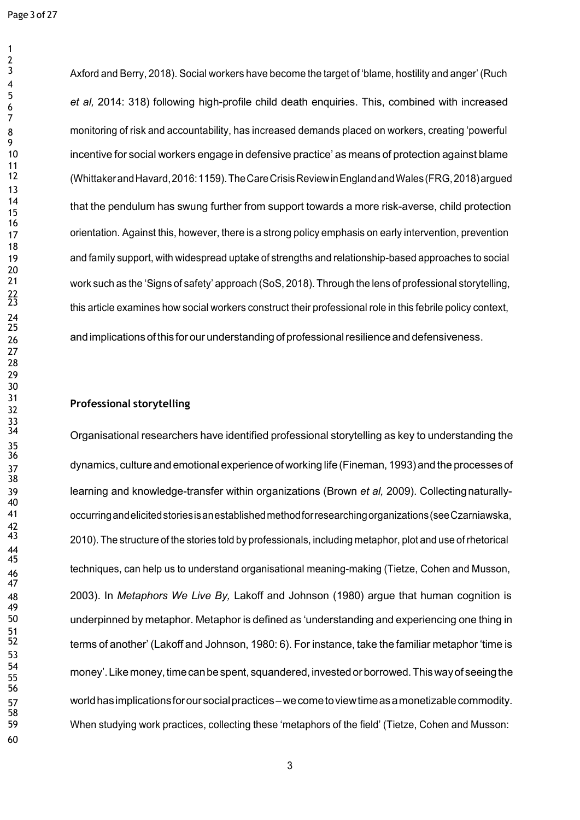Axford and Berry, 2018). Social workers have become the target of 'blame, hostility and anger' (Ruch *et al,* 2014: 318) following high-profile child death enquiries. This, combined with increased monitoring of risk and accountability, has increased demands placed on workers, creating 'powerful incentive for social workers engage in defensive practice' as means of protection against blame (WhittakerandHavard,2016:1159).TheCareCrisisReviewinEnglandandWales(FRG,2018)argued  $\frac{14}{15}$  that the pendulum has swung further from support towards a more risk-averse, child protection 17 orientation. Against this, however, there is a strong policy emphasis on early intervention, prevention and family support, with widespread uptake of strengths and relationship-based approaches to social work such as the 'Signs of safety' approach (SoS, 2018). Through the lens of professional storytelling, this article examines how social workers construct their professional role in this febrile policy context, and implications of this forour understanding of professionalresilience and defensiveness.

# **Professional storytelling**

Organisational researchers have identified professional storytelling as key to understanding the 37 dynamics, culture and emotional experience of working life (Fineman, 1993) and the processes of learning and knowledge-transfer within organizations (Brown *et al,* 2009). Collectingnaturally- occurringandelicitedstoriesisanestablishedmethodforresearchingorganizations(seeCzarniawska, 2010). The structure of the stories told by professionals, including metaphor, plot and use of rhetorical techniques, can help us to understand organisational meaning-making (Tietze, Cohen and Musson, 2003). In *Metaphors We Live By,* Lakoff and Johnson (1980) argue that human cognition is underpinned by metaphor. Metaphor is defined as 'understanding and experiencing one thing in terms of another' (Lakoff and Johnson, 1980: 6). For instance, take the familiar metaphor 'time is money'.Likemoney,timecanbespent, squandered,investedorborrowed.Thiswayof seeingthe worldhasimplicationsforoursocialpractices–wecometoviewtimeasamonetizablecommodity. When studying work practices, collecting these 'metaphors of the field' (Tietze, Cohen and Musson: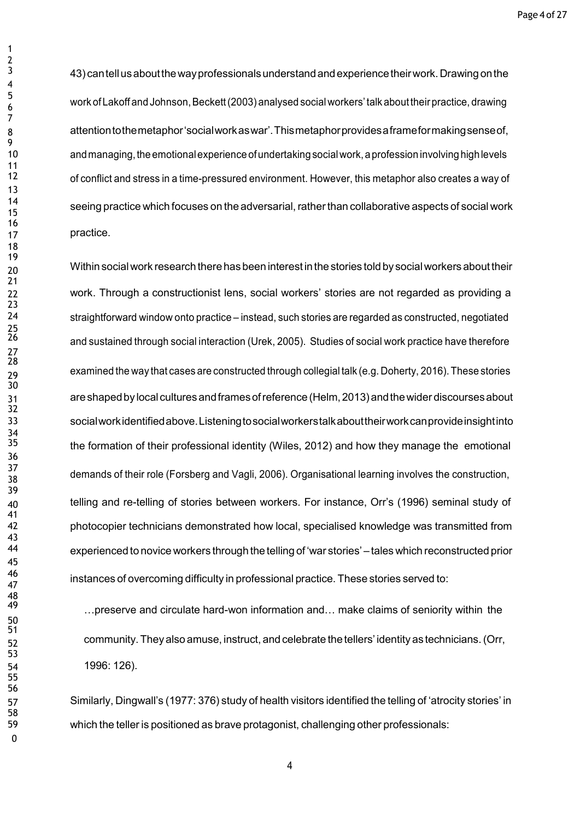43) cantellusaboutthewayprofessionalsunderstandandexperiencetheirwork.Drawingonthe work of Lakoff and Johnson, Beckett (2003) analysed social workers' talk about their practice, drawing attentiontothemetaphor'socialworkaswar'.Thismetaphorprovidesaframeformakingsenseof, and managing, the emotional experience of undertaking social work, a profession involving high levels of conflict and stress in a time-pressured environment. However, this metaphor also creates a way of seeing practice which focuses on the adversarial,ratherthan collaborative aspects of social work practice.

 Within socialwork research therehas been interestin thestories told by socialworkers abouttheir work. Through a constructionist lens, social workers' stories are not regarded as providing a straightforward window onto practice – instead, such stories are regarded as constructed, negotiated and sustained through social interaction (Urek, 2005). Studies of social work practice have therefore examined the way that cases are constructed through collegial talk (e.g. Doherty, 2016).These stories areshapedby local cultures andframesofreference (Helm,2013)andthewider discoursesabout socialworkidentifiedabove.Listeningtosocialworkerstalkabouttheirworkcanprovideinsightinto the formation of their professional identity (Wiles, 2012) and how they manage the emotional demands of their role (Forsberg and Vagli, 2006). Organisational learning involves the construction, telling and re-telling of stories between workers. For instance, Orr's (1996) seminal study of photocopier technicians demonstrated how local, specialised knowledge was transmitted from experienced to novice workers through thetelling of 'war stories' – tales which reconstructed prior instances of overcoming difficulty in professional practice. These stories served to:

... preserve and circulate hard-won information and... make claims of seniority within the community.They also amuse, instruct, and celebrate thetellers' identity as technicians.(Orr, 1996: 126).

 Similarly, Dingwall's (1977: 376) study of health visitors identified the telling of 'atrocity stories' in which the teller is positioned as brave protagonist, challenging other professionals: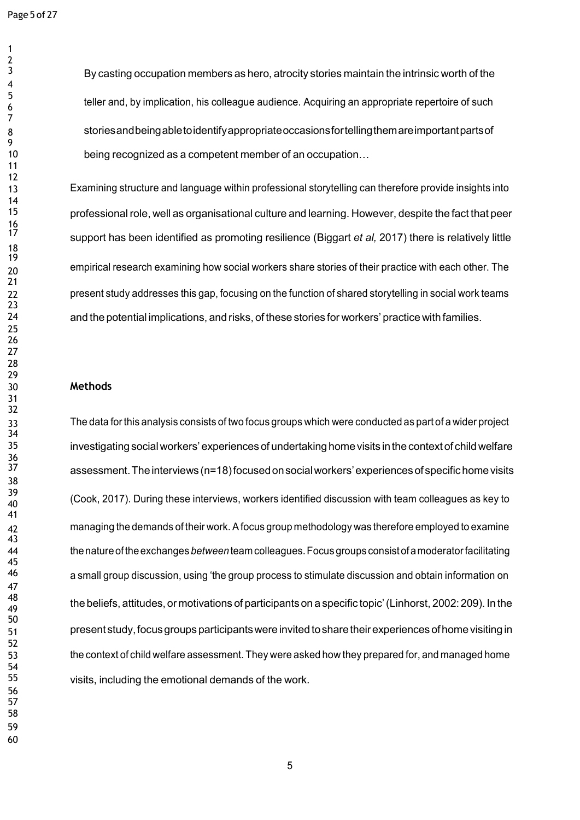By casting occupation members as hero, atrocity stories maintain the intrinsic worth of the teller and, by implication, his colleague audience. Acquiring an appropriate repertoire of such storiesandbeingabletoidentifyappropriateoccasionsfortellingthemareimportantpartsof being recognized as a competent member of an occupation...

 Examining structure and language within professional storytelling can therefore provide insights into professional role, well as organisational culture and learning. However, despite the fact that peer support has been identified as promoting resilience (Biggart *et al,* 2017) there is relatively little 20 empirical research examining how social workers share stories of their practice with each other. The present study addresses this gap, focusing on the function of shared storytelling in social work teams and the potential implications, and risks, of these stories for workers' practice with families.

### **Methods**

 The data forthis analysis consists of two focus groups which were conducted as part of a wider project investigating socialworkers' experiences of undertaking home visits inthe context of childwelfare assessment. The interviews (n=18) focused on social workers' experiences of specific home visits (Cook, 2017). During these interviews, workers identified discussion with team colleagues as key to managing the demands of their work. Afocus group methodology was therefore employed to examine thenatureoftheexchanges *between* team colleagues.Focusgroups consistofamoderatorfacilitating a small group discussion, using 'the group process to stimulate discussion and obtain information on the beliefs, attitudes, or motivations of participantson <sup>a</sup> specific topic'(Linhorst, 2002: 209). In the presentstudy,focusgroups participantswere invited tosharetheirexperiences ofhome visiting in the context of child welfare assessment. They were asked how they prepared for, and managed home visits, including the emotional demands of the work.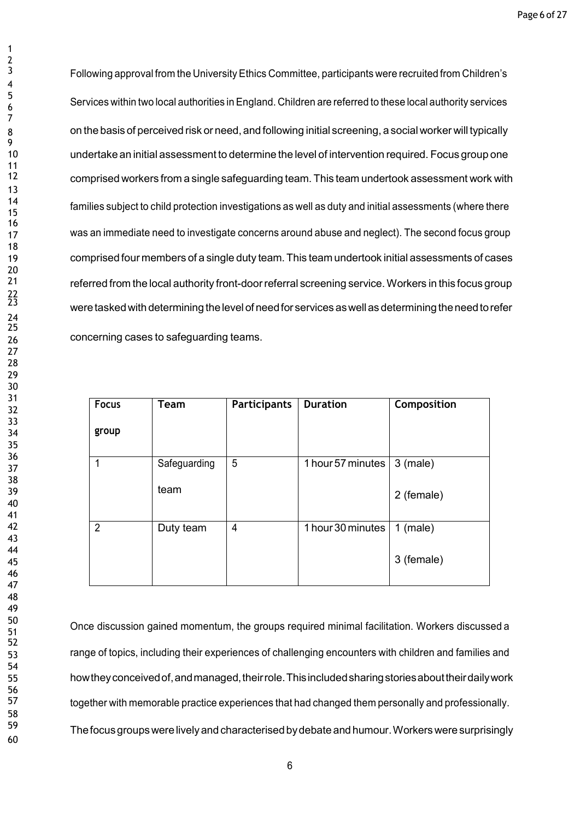Following approval from the University Ethics Committee, participants were recruited from Children's Services within two local authorities in England. Children are referred to these local authority services on the basis of perceived risk or need, and following initial screening, a social worker will typically undertake an initial assessment to determine the level of intervention required. Focus group one comprised workers from a single safeguarding team. This team undertook assessment work with families subject to child protection investigations as well as duty and initial assessments (where there 17 was an immediate need to investigate concerns around abuse and neglect). The second focus group comprised four members of a single duty team. This team undertook initial assessments of cases referred from the local authority front-doorreferral screening service.Workers in this focus group were tasked with determining the level of need for services as well as determining the need to refer concerning cases to safeguarding teams.

| <b>Focus</b><br>group | <b>Team</b>          | <b>Participants</b> | <b>Duration</b>   | Composition              |
|-----------------------|----------------------|---------------------|-------------------|--------------------------|
| 1                     | Safeguarding<br>team | 5                   | 1 hour 57 minutes | $3$ (male)<br>2 (female) |
| $\overline{2}$        | Duty team            | 4                   | 1 hour 30 minutes | $1$ (male)<br>3 (female) |

 Once discussion gained momentum, the groups required minimal facilitation. Workers discussed <sup>a</sup> range of topics, including their experiences of challenging encounters with children and families and howtheyconceivedof,andmanaged,theirrole.Thisincludedsharingstoriesabouttheirdailywork together with memorable practice experiences that had changed them personally and professionally. Thefocusgroupswerelivelyand characterisedbydebate and humour.Workers were surprisingly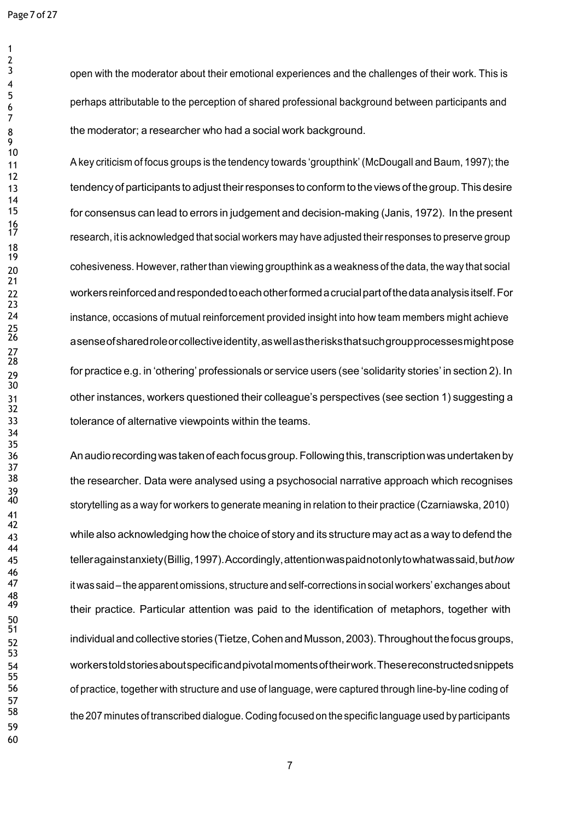open with the moderator about their emotional experiences and the challenges of their work. This is perhaps attributable to the perception of shared professional background between participants and the moderator; a researcher who had a social work background.

 A key criticism of focus groups is the tendency towards 'groupthink' (McDougall and Baum, 1997); the 13 tendency of participants to adjust their responses to conform to the views of the group. This desire for consensus can lead to errors in judgement and decision-making (Janis, 1972). In the present research, it is acknowledged that social workers may have adjusted theirresponses to preserve group cohesiveness. However,ratherthan viewing groupthink as a weakness of the data, the way that social workersreinforcedandrespondedtoeachotherformedacrucialpartofthedataanalysisitself.For instance, occasions of mutual reinforcement provided insight into how team members might achieve asense of shared role or collective identity, as well as the risks that such group processes might pose for practice e.g. in 'othering' professionals or service users (see 'solidarity stories' in section 2). In other instances, workers questioned their colleague's perspectives (see section 1) suggesting a tolerance of alternative viewpoints within the teams.

 Anaudiorecordingwas takenofeachfocusgroup.Followingthis,transcriptionwasundertakenby 38 the researcher. Data were analysed using a psychosocial narrative approach which recognises storytelling as <sup>a</sup> way for workers to generate meaning in relation to their practice (Czarniawska, 2010) while also acknowledging how the choice of story and its structure may act as a way to defend the telleragainstanxiety(Billig,1997).Accordingly,attentionwaspaidnotonlytowhatwassaid,but*how* itwas said –the apparent omissions, structure and self-corrections in social workers' exchanges about their practice. Particular attention was paid to the identification of metaphors, together with individualand collective stories (Tietze, CohenandMusson, 2003).Throughout thefocusgroups, workerstoldstoriesaboutspecificandpivotalmomentsoftheirwork.Thesereconstructedsnippets of practice, together with structure and use of language, were captured through line-by-line coding of the <sup>207</sup> minutes of transcribed dialogue. Coding focused on the specific language used by participants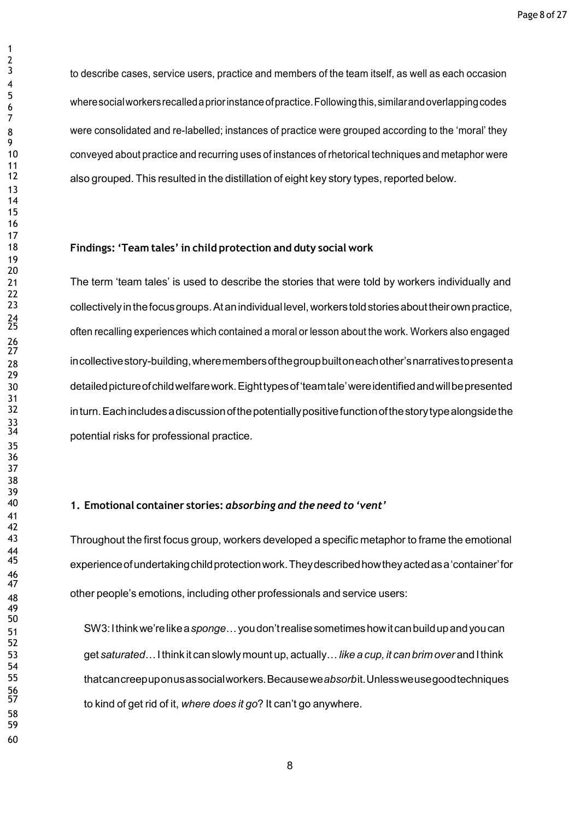to describe cases, service users, practice and members of the team itself, as well as each occasion wheresocialworkersrecalledapriorinstanceofpractice.Followingthis,similarandoverlappingcodes were consolidated and re-labelled; instances of practice were grouped according to the 'moral' they conveyed about practice and recurring uses of instances of rhetorical techniques and metaphor were also grouped. This resulted in the distillation of eight key story types, reported below.

### **Findings: 'Team tales' in child protection and duty social work**

 The term 'team tales' is used to describe the stories that were told by workers individually and collectively in the focus groups. At an individual level, workers told stories about their own practice, often recalling experiences which contained <sup>a</sup> moral or lesson about the work. Workers also engaged incollectivestory-building,wheremembersofthegroupbuiltoneachother'snarrativestopresenta detailedpictureofchildwelfarework.Eighttypesof'teamtale'wereidentifiedandwillbepresented 32 inturn. Each includes a discussion of the potentially positive function of the story type alongside the potential risks for professional practice.

## **1. Emotional container stories:** *absorbing and the need to 'vent'*

 Throughout the first focus group, workers developed a specific metaphor to frame the emotional experience of undertaking child protection work. They described how they acted as a 'container' for other people's emotions, including other professionals and service users:

 SW3:Ithinkwe'relikea*sponge*…youdon'trealisesometimeshowitcanbuildupandyoucan get *saturated*…Ithink it can slowly mount up, actually…*like a cup, it can brimover* and Ithink thatcancreepuponusassocialworkers.Becausewe*absorb*it.Unlessweusegoodtechniques to kind of get rid of it, *where does it go*? It can't go anywhere.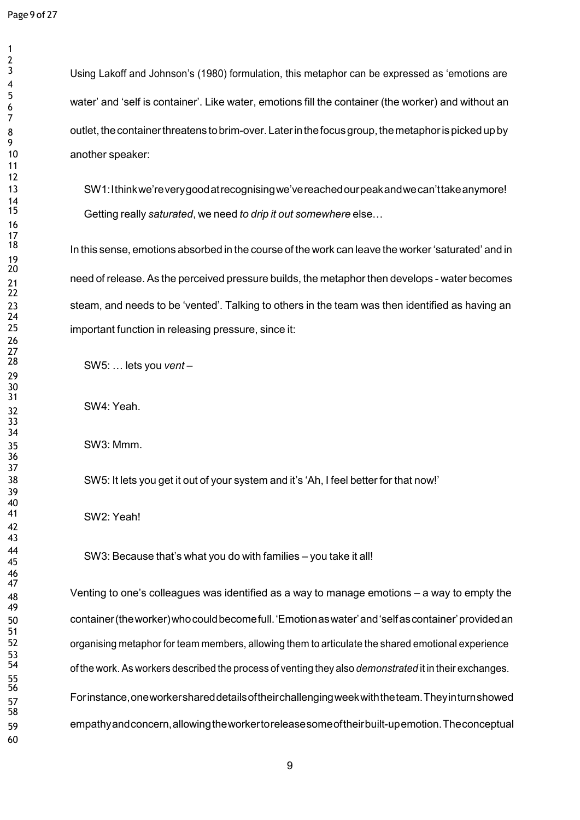$\frac{2}{3}$ 

 SW1:Ithinkwe'reverygoodatrecognisingwe'vereachedourpeakandwecan'ttakeanymore! Getting really *saturated*, we need *to drip it out somewhere* else…

In this sense, emotions absorbed in the course of the work can leave the worker 'saturated' and in need of release. As the perceived pressure builds, the metaphor then develops - water becomes steam, and needs to be 'vented'. Talking to others in the team was then identified as having an important function in releasing pressure, since it:

SW5: … lets you *vent* –

SW4: Yeah.

SW3: Mmm.

SW5: It lets you get it out of your system and it's 'Ah, I feel better for that now!'

SW2: Yeah!

44 SW3: Because that's what you do with families – you take it all!

 Venting to one's colleagues was identified as a way to manage emotions – a way to empty the container(theworker)whocouldbecomefull.'Emotionaswater'and'selfascontainer'providedan organising metaphor for team members, allowing them to articulate the shared emotional experience of the work. As workers described the process of venting they also *demonstrated* it in their exchanges. Forinstance,oneworkershareddetailsoftheirchallengingweekwiththeteam.Theyinturnshowed empathyandconcern,allowingtheworkertoreleasesomeoftheirbuilt-upemotion.Theconceptual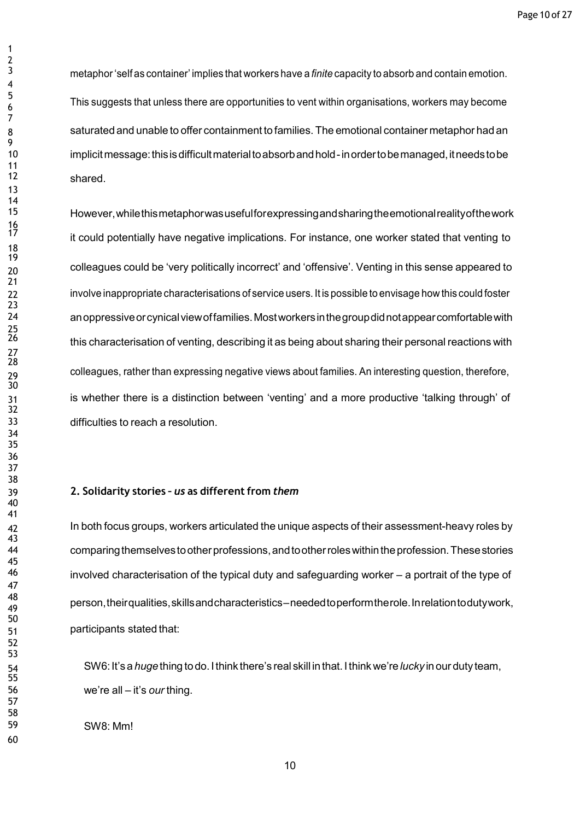metaphor'self as container' implies that workers have a *finite* capacity to absorb and contain emotion. This suggests that unless there are opportunities to vent within organisations, workers may become saturated and unable to offer containment to families. The emotional container metaphor had an implicit message: this is difficult material to absorb and hold-in order to be managed, it needs to be shared.

 However,whilethismetaphorwasusefulforexpressingandsharingtheemotionalrealityofthework it could potentially have negative implications. For instance, one worker stated that venting to colleagues could be 'very politically incorrect' and 'offensive'. Venting in this sense appeared to 22 involve inappropriate characterisations of service users. It is possible to envisage how this could foster anoppressiveorcynicalviewoffamilies.Mostworkersinthegroupdidnotappearcomfortablewith this characterisation of venting, describing it as being about sharing their personal reactions with colleagues, rather than expressing negative views about families. An interesting question, therefore, is whether there is a distinction between 'venting' and a more productive 'talking through' of difficulties to reach a resolution.

### **2. Solidarity stories –** *us* **as different from** *them*

42 In both focus groups, workers articulated the unique aspects of their assessment-heavy roles by comparingthemselvestootherprofessions,andtootherroleswithintheprofession.Thesestories involved characterisation of the typical duty and safeguarding worker – a portrait of the type of person,theirqualities,skillsandcharacteristics–neededtoperformtherole.Inrelationtodutywork, participants stated that:

 SW6:It's a *huge*thing todo. Ithink there's real skill in that.I think we're *lucky* in our duty team, we're all – it's *our* thing.

SW8: Mm!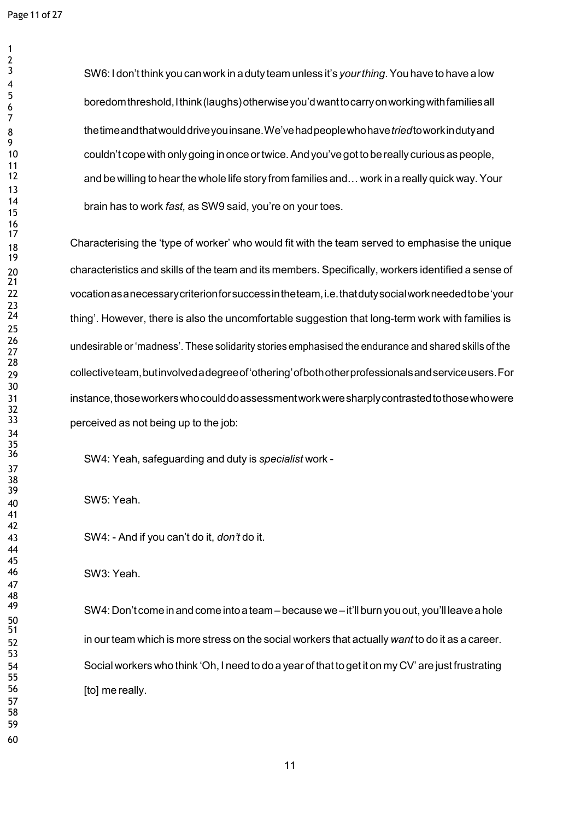SW6: I don'tthink you canwork in a duty team unless it's *yourthing*.You have to have a low boredomthreshold,Ithink(laughs)otherwiseyou'dwanttocarryonworkingwithfamiliesall thetimeandthatwoulddriveyouinsane.We'vehadpeoplewhohave*tried*toworkindutyand couldn't copewith onlygoing in once ortwice.And you've gottobereally curious aspeople, and be willing to hearthewhole life story from families and…work in a really quick way. Your brain has to work *fast,* as SW9 said, you're on your toes.

 Characterising the 'type of worker' who would fit with the team served to emphasise the unique characteristics and skills of the team and its members. Specifically, workers identified a sense of vocationasanecessarycriterionforsuccessintheteam,i.e.thatdutysocialworkneededtobe'your thing'. However, there is also the uncomfortable suggestion that long-term work with families is undesirable or 'madness'. These solidarity stories emphasised the endurance and shared skills of the collectiveteam,butinvolvedadegreeof'othering'ofbothotherprofessionalsandserviceusers.For instance,thoseworkerswhocoulddoassessmentworkweresharplycontrastedtothosewhowere perceived as not being up to the job:

SW4: Yeah, safeguarding and duty is *specialist* work -

SW5: Yeah.

SW4: - And if you can't do it, *don't* do it.

SW3: Yeah.

SW4: Don't come in and come into a team – because we – it'll burn you out, you'll leave a hole in our team which is more stress on the social workers that actually *want* to do it as a career. Social workers who think 'Oh, I need to do a year of that to get it on my CV' are just frustrating 56 [to] me really.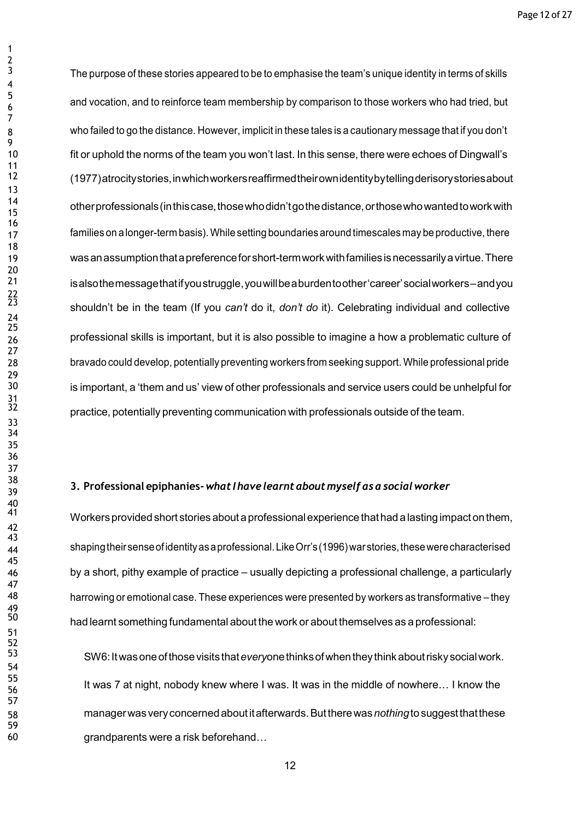The purpose of these stories appeared to be to emphasise the team's unique identity in terms of skills and vocation, and to reinforce team membership by comparison to those workers who had tried, but who failed to go the distance. However, implicit in these tales is a cautionary message that if you don't fit or uphold the norms of the team you won't last. In this sense, there were echoes of Dingwall's (1977)atrocitystories,inwhichworkersreaffirmedtheirownidentitybytellingderisorystoriesabout otherprofessionals(inthiscase,thosewhodidn'tgothedistance,orthosewhowantedtoworkwith 17 families on a longer-term basis). While setting boundaries around timescales may be productive, there wasanassumptionthatapreferenceforshort-termworkwithfamiliesisnecessarilyavirtue.There isalsothemessagethatifyoustruggle,youwillbeaburdentoother'career'socialworkers–andyou shouldn't be in the team (If you *can't* do it, *don't do* it). Celebrating individual and collective professional skills is important, but it is also possible to imagine a how a problematic culture of bravado could develop, potentially preventing workers from seeking support. While professional pride is important, a 'them and us' view of other professionals and service users could be unhelpful for practice, potentially preventing communication with professionals outside of the team.

# **3. Professional epiphanies-** *what <sup>I</sup> have learntabout myself asa socialworker*

 Workersprovided short stories about aprofessionalexperience thathad alasting impact onthem, 44 shaping their sense of identity as a professional. Like Orr's (1996) war stories, these were characterised by a short, pithy example of practice – usually depicting a professional challenge, a particularly harrowing or emotional case. These experiences were presented by workers as transformative – they had learnt something fundamental about the work or about themselves as a professional:

 SW6:Itwasoneofthosevisits that*every*onethinksof whentheythink aboutriskysocialwork. It was 7 at night, nobody knew where I was. It was in the middle of nowhere... I know the managerwas veryconcernedaboutitafterwards.Buttherewas*nothing*tosuggestthatthese grandparents were a risk beforehand…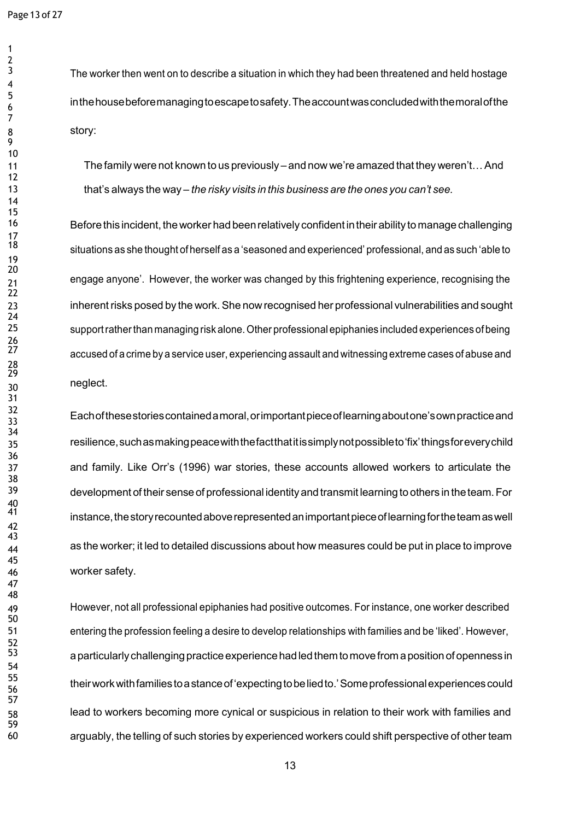The worker then went on to describe a situation in which they had been threatened and held hostage inthehousebeforemanagingtoescapetosafety.Theaccountwasconcludedwiththemoralofthe story:

 Thefamilywere not known to us previously – and now we're amazed that they weren't…And that's always the way – *the risky visits in this business are the ones you can't see.*

16 Before this incident, the worker had been relatively confident in their ability to manage challenging situations as she thought of herself as a 'seasoned and experienced' professional, and as such 'able to engage anyone'. However, the worker was changed by this frightening experience, recognising the inherentrisks posed by the work.She nowrecognised her professional vulnerabilities and sought supportratherthan managing risk alone.Other professional epiphanies included experiences of being accused of a crime by a service user, experiencing assault and witnessing extreme cases of abuse and neglect.

 Eachofthesestoriescontainedamoral,orimportantpieceoflearningaboutone'sownpracticeand resilience,suchasmakingpeacewiththefactthatitissimplynotpossibleto'fix'thingsforeverychild and family. Like Orr's (1996) war stories, these accounts allowed workers to articulate the development of their sense of professional identityand transmit learning to others in theteam.For instance, the story recounted above represented an important piece of learning for the team as well as the worker; it led to detailed discussions about how measures could be put in place to improve worker safety.

 However, not all professional epiphanies had positive outcomes. For instance, one worker described entering the profession feeling a desire to develop relationships with families and be 'liked'. However, 53 aparticularly challenging practice experience had led them to move from a position of openness in theirworkwithfamiliestoastanceof'expectingtobeliedto.'Someprofessionalexperiencescould lead to workers becoming more cynical or suspicious in relation to their work with families and arguably, the telling of such stories by experienced workers could shift perspective of other team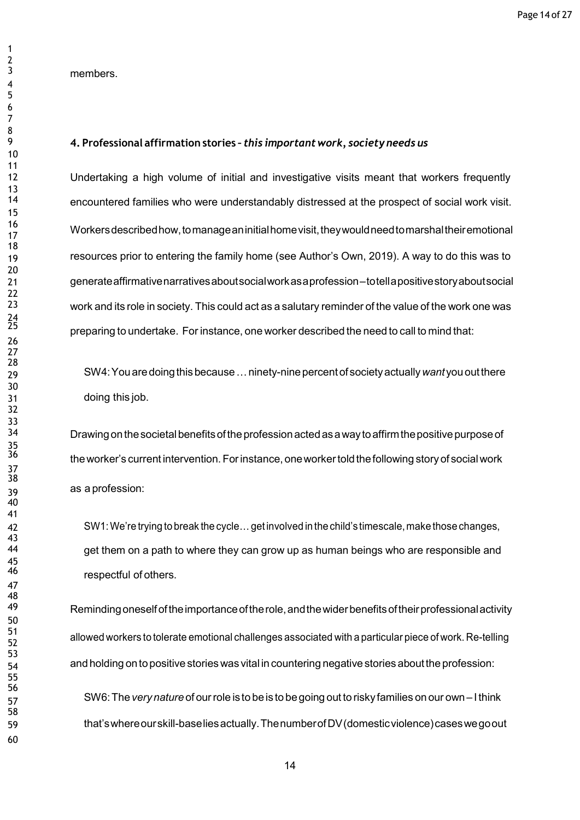members.

### **4. Professional affirmation stories –** *this important work, society needs us*

 Undertaking a high volume of initial and investigative visits meant that workers frequently encountered families who were understandably distressed at the prospect of social work visit. Workersdescribedhow,tomanageaninitialhomevisit,theywouldneedtomarshaltheiremotional resources prior to entering the family home (see Author's Own, 2019). A way to do this was to generateaffirmativenarrativesaboutsocialworkasaprofession–totellapositivestoryaboutsocial work and its role in society. This could act as a salutary reminder of the value of the work one was preparing to undertake. For instance, one worker described the need to call to mind that:

 SW4:Youaredoingthisbecause…ninety-ninepercentof societyactually*want* yououtthere doing this job.

Drawing on the societal benefits of the profession acted as a way to affirm the positive purpose of the worker's current intervention. For instance, one worker told the following story of social work as a profession:

 SW1:We're trying to break the cycle…get involved in the child's timescale, make those changes, get them on a path to where they can grow up as human beings who are responsible and respectful of others.

49 Reminding oneself of the importance of the role, and the wider benefits of their professional activity allowed workers to tolerate emotional challenges associated with <sup>a</sup> particular piece of work. Re-telling and holding onto positive storieswas vital in countering negative stories abouttheprofession:

 SW6:The*very nature* of ourrole is to be is to begoing out to riskyfamilies on our own – Ithink that'swhereourskill-baseliesactually.ThenumberofDV(domesticviolence)caseswegoout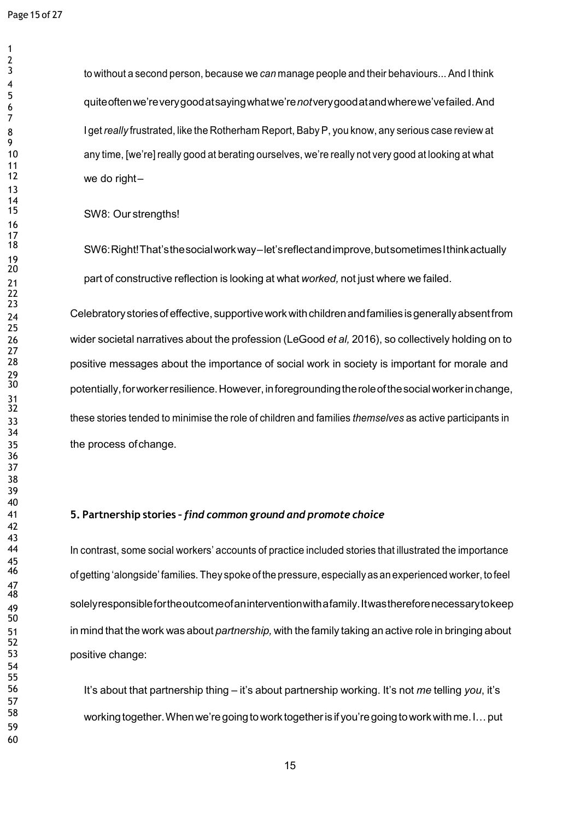to without a second person, because we *can* manage people and their behaviours... And I think quiteoftenwe'reverygoodatsayingwhatwe're*not*verygoodatandwherewe'vefailed.And 8 I get *really* frustrated, like the Rotherham Report, Baby P, you know, any serious case review at any time, [we're] really good at berating ourselves, we're really not very good at looking at what we do right $-$ 

SW8: Our strengths!

 SW6:Right!That'sthesocialworkway–let'sreflectandimprove,butsometimesIthinkactually part of constructive reflection is looking at what *worked,* not just where we failed.

24 Celebratory stories of effective, supportive work with children and families is generally absent from wider societal narratives about the profession (LeGood *et al,* 2016), so collectively holding on to positive messages about the importance of social work in society is important for morale and potentially, for worker resilience. However, in foregrounding the role of the social worker in change, these stories tended to minimise the role of children and families *themselves* as active participants in the process ofchange.

### **5. Partnership stories –** *find common ground and promote choice*

 In contrast, some social workers' accounts of practice included stories that illustrated the importance of getting 'alongside' families. They spoke of the pressure, especially as an experienced worker, to feel solelyresponsiblefortheoutcomeofaninterventionwithafamily.Itwasthereforenecessarytokeep in mind that the work was about *partnership,* with the family taking an active role in bringing about positive change:

 It's about that partnership thing – it's about partnership working. It's not *me* telling *you*, it's workingtogether.Whenwe'regoingtowork togetheris if you'regoingtoworkwithme.I…put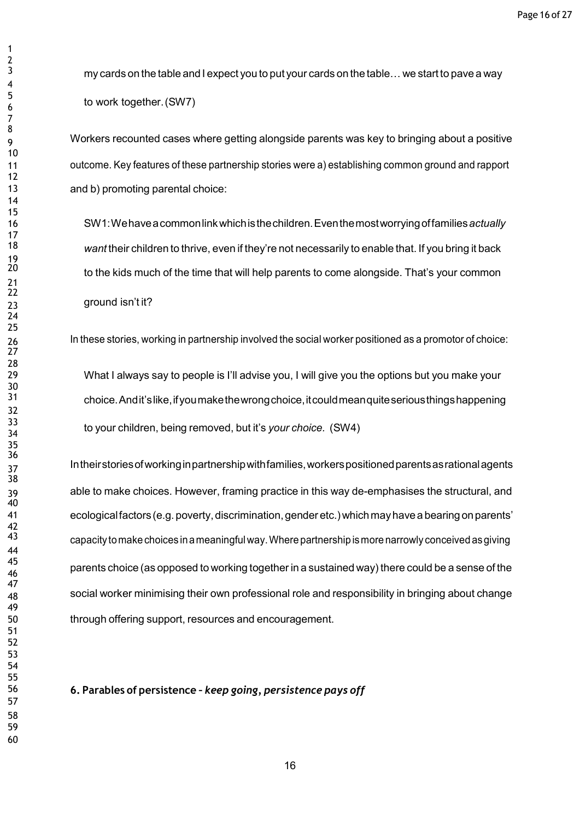my cards on the table and I expect you to put your cards on the table... we start to pave a way to work together.(SW7)

 Workers recounted cases where getting alongside parents was key to bringing about a positive outcome. Key features of these partnership stories were a) establishing common ground and rapport and b) promoting parental choice:

 SW1:Wehaveacommonlinkwhichisthechildren.Eventhemostworryingoffamilies*actually want* their children to thrive, even if they're not necessarily to enable that. If you bring it back to the kids much of the time that will help parents to come alongside. That's your common ground isn't it?

In these stories, working in partnership involved the social worker positioned as a promotor of choice:

 What I always say to people is I'll advise you, I will give you the options but you make your choice.Andit'slike,ifyoumakethewrongchoice,itcouldmeanquiteseriousthingshappening to your children, being removed, but it's *your choice.* (SW4)

 Intheirstoriesofworkinginpartnershipwithfamilies,workerspositionedparentsasrationalagents able to make choices. However, framing practice in this way de-emphasises the structural, and ecologicalfactors(e.g.poverty,discrimination,gender etc.)whichmayhavea bearing onparents' capacity tomake choices inameaningful way.Where partnership ismore narrowly conceived asgiving  $\frac{45}{16}$  parents choice (as opposed to working together in a sustained way) there could be a sense of the 48 social worker minimising their own professional role and responsibility in bringing about change through offering support, resources and encouragement.

#### **6. Parables of persistence –** *keep going, persistence pays off*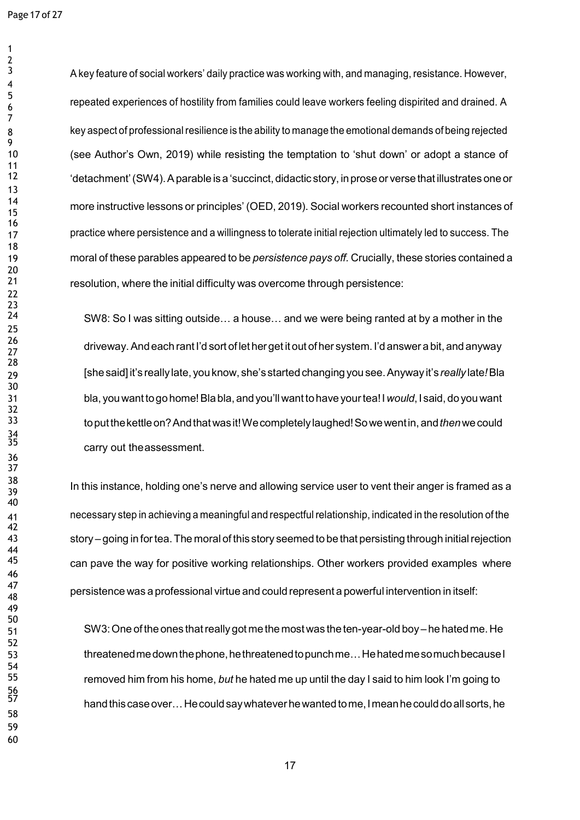A key feature of social workers' daily practice was working with, and managing, resistance. However, repeated experiences of hostility from families could leave workers feeling dispirited and drained. A 8 key aspect of professional resilience is the ability to manage the emotional demands of being rejected (see Author's Own, 2019) while resisting the temptation to 'shut down' or adopt a stance of 'detachment' (SW4). A parable is a 'succinct, didactic story, in prose or verse that illustrates one or more instructive lessons or principles' (OED, 2019). Social workers recounted short instances of 17 practice where persistence and a willingness to tolerate initial rejection ultimately led to success. The moral of these parables appeared to be *persistence pays off.* Crucially, these stories contained a resolution, where the initial difficulty was overcome through persistence:

SW8: So I was sitting outside... a house... and we were being ranted at by a mother in the  $\frac{26}{27}$  driveway. And each rant I'd sort of let her get it out of her system. I'd answer a bit, and anyway [shesaid]it's really late, youknow, she's startedchanging yousee.Anyway it's *really* late*!*Bla bla, youwant togohome!Bla bla, andyou'll want tohave yourtea!I*would*,I said, doyouwant toputthekettleon?Andthatwasit!Wecompletelylaughed!Sowewentin,and*then*wecould carry out the assessment.

 In this instance, holding one's nerve and allowing service user to vent their anger is framed as <sup>a</sup> necessary step in achieving a meaningful and respectful relationship, indicated in the resolution of the story – going in fortea.The moral of this story seemed to be that persisting through initialrejection 45 can pave the way for positive working relationships. Other workers provided examples where persistence was <sup>a</sup> professional virtue and could represent <sup>a</sup> powerful intervention in itself:

 SW3:One of theones thatreally got me themost was theten-year-old boy – he hatedme. He threatenedmedownthephone,hethreatenedtopunchme…HehatedmesomuchbecauseI removed him from his home, *but* he hated me up until the day I said to him look I'm going to hand this case over... He could say whatever he wanted to me, I mean he could do all sorts, he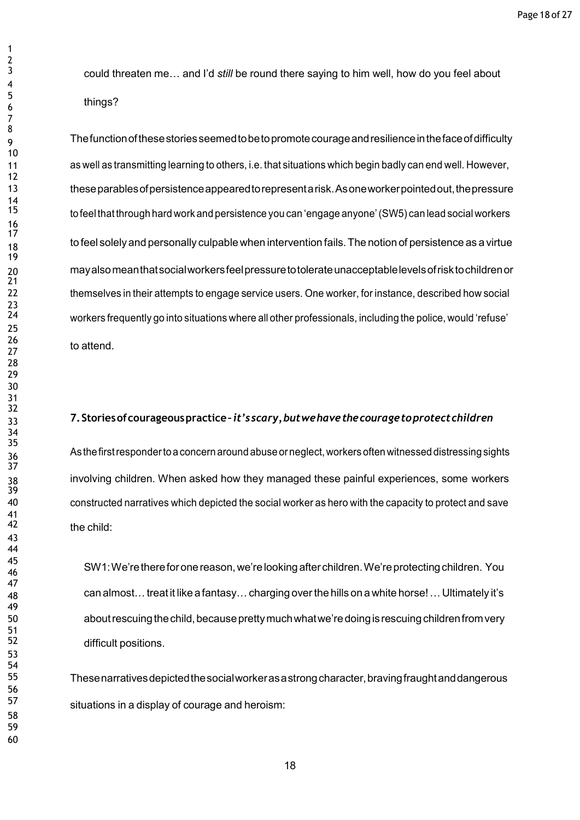could threaten me… and I'd *still* be round there saying to him well, how do you feel about things?

Thefunctionofthesestoriesseemedtobetopromotecourageandresilienceinthefaceofdifficulty as well as transmitting learning to others, i.e. that situations which begin badly can end well. However, theseparablesofpersistenceappearedtorepresentarisk.Asoneworkerpointedout,thepressure to feel that through hard work and persistence you can 'engage anyone' (SW5) can lead social workers to feel solely and personally culpable when intervention fails. The notion of persistence as a virtue mayalsomeanthatsocialworkersfeelpressuretotolerateunacceptablelevelsofrisktochildrenor themselves in their attempts to engage service users. One worker, for instance, described how social workers frequently go into situations where all other professionals, including the police, would 'refuse'  $\frac{26}{27}$  to attend.

## **7.Storiesofcourageouspractice–***it'sscary,butwehavethecouragetoprotectchildren*

36 As the first responder to a concern around abuse or neglect, workers often witnessed distressing sights involving children. When asked how they managed these painful experiences, some workers constructed narratives which depicted the social worker as hero with the capacity to protect and save the child:

 SW1:We'rethereforonereason,we'relooking afterchildren.We'reprotectingchildren. You can almost…treat it like a fantasy…charging overthe hills on a white horse!…Ultimately it's aboutrescuingthechild,becauseprettymuchwhatwe'redoingisrescuingchildrenfromvery difficult positions.

 Thesenarrativesdepictedthesocialworkerasastrongcharacter,bravingfraughtanddangerous situations in a display of courage and heroism: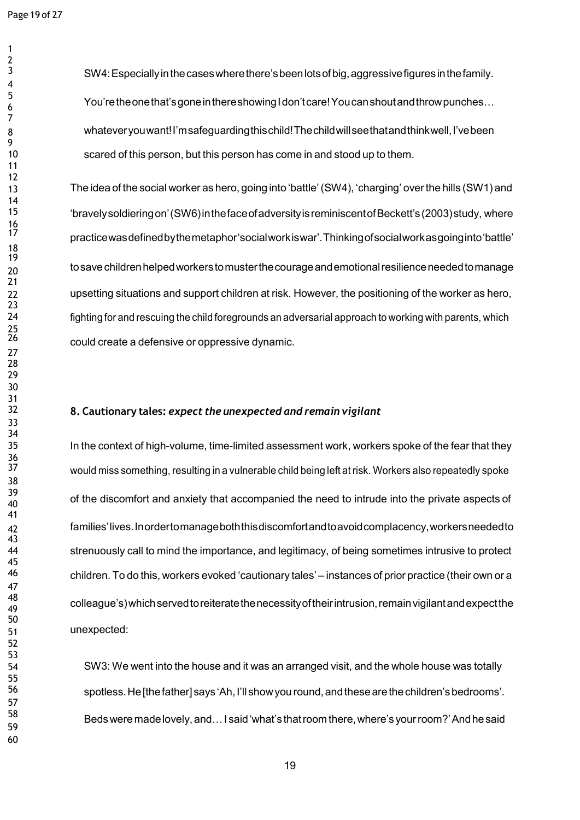SW4:Especiallyinthecaseswherethere'sbeenlotsofbig,aggressivefiguresinthefamily. You're the one that's gone in there showing I don't care! You can shout and throw punches... whateveryouwant!I'msafeguardingthischild!Thechildwillseethatandthinkwell,I'vebeen scared of this person, but this person has come in and stood up to them.

 The idea of the social worker as hero, going into 'battle'(SW4), 'charging' overthe hills (SW1) and 'bravelysoldieringon'(SW6)inthefaceofadversityisreminiscentofBeckett's(2003)study, where practicewasdefinedbythemetaphor'socialworkiswar'.Thinkingofsocialworkasgoinginto'battle'  $_{\rm 20}$  to save children helped workers to muster the courage and emotional resilience needed to manage upsetting situations and support children at risk. However, the positioning of the worker as hero, fighting for and rescuing the child foregrounds an adversarial approach to working with parents, which could create a defensive or oppressive dynamic.

# **8. Cautionary tales:** *expect the unexpected and remain vigilant*

 In the context of high-volume, time-limited assessment work, workers spoke of the fear that they would miss something, resulting in a vulnerable child being left at risk. Workers also repeatedly spoke 39<br>39 of the discomfort and anxiety that accompanied the need to intrude into the private aspects of families'lives.Inordertomanageboththisdiscomfortandtoavoidcomplacency,workersneededto strenuously call to mind the importance, and legitimacy, of being sometimes intrusive to protect children. To do this, workers evoked 'cautionary tales' – instances of prior practice (their own or a colleague's)whichservedtoreiteratethenecessityoftheirintrusion,remainvigilantandexpectthe unexpected:

 SW3: We went into the house and it was an arranged visit, and the whole house was totally spotless.He[thefather] says 'Ah,I'll showyou round,andthesearethechildren'sbedrooms'. Bedsweremadelovely, and…I said'what's thatroomthere,where's yourroom?'Andhesaid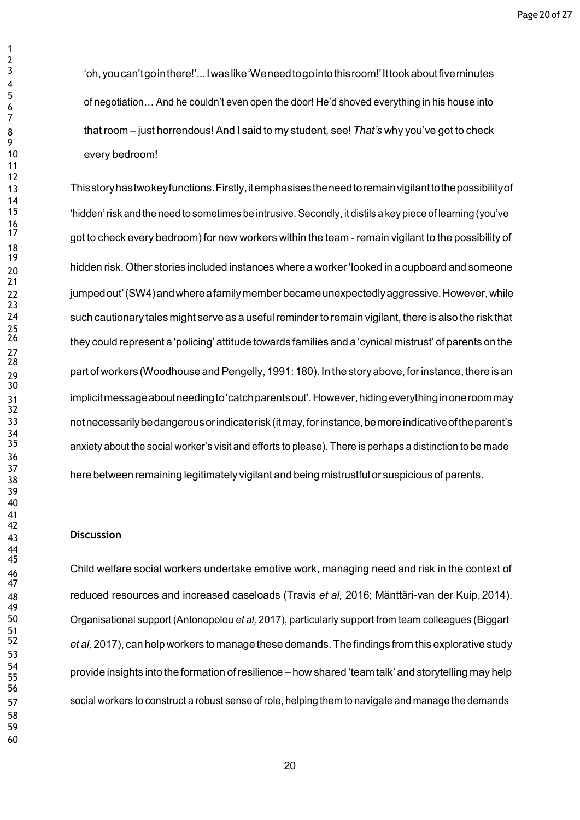'oh,youcan'tgointhere!'...Iwaslike'Weneedtogointothisroom!'Ittookaboutfiveminutes of negotiation… And he couldn't even open the door! He'd shoved everything in his house into that room – just horrendous! And I said to my student, see! *That's* why you've got to check every bedroom!

 Thisstoryhastwokeyfunctions.Firstly,itemphasisestheneedtoremainvigilanttothepossibilityof 'hidden'risk and the need to sometimes be intrusive. Secondly, it distils a key piece of learning (you've got to check every bedroom) for new workers within the team - remain vigilant to the possibility of 20 hidden risk. Other stories included instances where a worker 'looked in a cupboard and someone 22 jumped out' (SW4) and where a family member became unexpectedly aggressive. However, while such cautionary tales might serve as a usefulreminderto remain vigilant, there is also the risk that they could represent a 'policing' attitude towards families and a 'cynical mistrust' of parents on the <sub>29</sub> part of workers (Woodhouse and Pengelly, 1991: 180). In the story above, for instance, there is an implicitmessageaboutneedingto'catchparentsout'.However,hidingeverythinginoneroommay notnecessarilybedangerousorindicaterisk(itmay,forinstance,bemoreindicativeoftheparent's anxiety about the social worker's visit and efforts to please). There is perhaps a distinction to be made here between remaining legitimately vigilant and being mistrustful or suspicious of parents.

### **Discussion**

 Child welfare social workers undertake emotive work, managing need and risk in the context of reduced resources and increased caseloads (Travis *et al,* 2016; Mänttäri-van der Kuip,2014). Organisational support (Antonopolou *et al,* 2017), particularly support from team colleagues (Biggart *et al,* 2017), can help workers to manage these demands.Thefindings from this explorative study provide insights into the formation ofresilience – how shared 'team talk' and storytelling may help social workers to construct a robust sense of role, helping them to navigate and manage the demands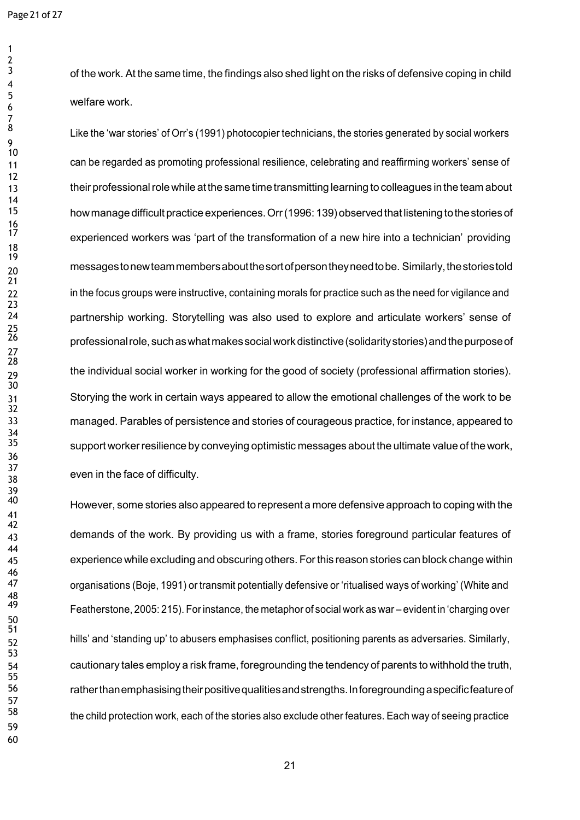Like the 'war stories' of Orr's (1991) photocopier technicians, the stories generated by social workers can be regarded as promoting professional resilience, celebrating and reaffirming workers' sense of their professionalrolewhile atthesame time transmitting learning to colleagues in theteam about how manage difficult practice experiences. Orr (1996: 139) observed that listening to the stories of experienced workers was 'part of the transformation of a new hire into a technician' providing messagestonewteammembersaboutthesortofpersontheyneedtobe. Similarly,thestoriestold 22 in the focus groups were instructive, containing morals for practice such as the need for vigilance and partnership working. Storytelling was also used to explore and articulate workers' sense of professionalrole,suchaswhatmakessocialworkdistinctive(solidaritystories)andthepurposeof <sub>29</sub> the individual social worker in working for the good of society (professional affirmation stories). Storying the work in certain ways appeared to allow the emotional challenges of the work to be managed. Parables of persistence and stories of courageous practice, for instance, appeared to support worker resilience by conveying optimistic messages about the ultimate value of the work, even in the face of difficulty.

 However, some stories also appeared to represent <sup>a</sup> more defensive approach to coping with the 43 demands of the work. By providing us with a frame, stories foreground particular features of experience while excluding and obscuring others. Forthis reason stories can block change within organisations (Boje, 1991) or transmit potentially defensive or 'ritualised ways of working' (White and Featherstone, 2005: 215). Forinstance, the metaphor of social work as war – evident in 'charging over hills' and 'standing up' to abusers emphasises conflict, positioning parents as adversaries. Similarly, cautionary tales employ a risk frame, foregrounding the tendency of parents to withhold the truth, ratherthanemphasisingtheirpositivequalitiesandstrengths.Inforegroundingaspecificfeatureof 58 the child protection work, each of the stories also exclude other features. Each way of seeing practice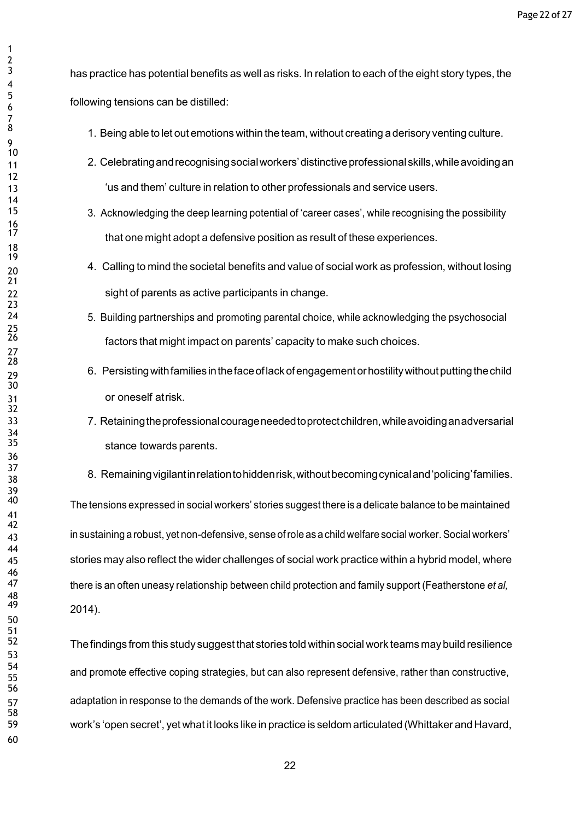has practice has potential benefits as well as risks. In relation to each of the eight story types, the following tensions can be distilled:

- 1. Being able to let out emotions within the team, without creating a derisory venting culture.
- 2. Celebratingandrecognisingsocialworkers'distinctiveprofessionalskills,whileavoidingan 'us and them' culture in relation to other professionals and service users.
	- 3. Acknowledging the deep learning potential of 'career cases', while recognising the possibility that one might adopt a defensive position as result of these experiences.
- 4. Calling to mind the societal benefits and value of social work as profession, without losing sight of parents as active participants in change.
	- 5. Building partnerships and promoting parental choice, while acknowledging the psychosocial factors that might impact on parents' capacity to make such choices.
- 29 6. Persisting with families in the face of lack of engagement or hostility without putting the child or oneself atrisk.
- 7. Retainingtheprofessionalcourageneededtoprotectchildren,whileavoidinganadversarial stance towards parents.
- 8. Remainingvigilantinrelationtohiddenrisk,withoutbecomingcynicaland'policing'families.

The tensions expressed in social workers' stories suggest there is a delicate balance to be maintained in sustaining a robust, yet non-defensive, sense ofrole as a child welfare social worker.Social workers' stories may also reflect the wider challenges of social work practice within a hybrid model, where there is an often uneasy relationship between child protection and family support (Featherstone *et al,* 2014).

52 The findings from this study suggest that stories told within social work teams may build resilience and promote effective coping strategies, but can also represent defensive, rather than constructive, adaptation in response to the demands of the work. Defensive practice has been described as social work's 'open secret', yet what it looks like in practice is seldom articulated (Whittaker and Havard,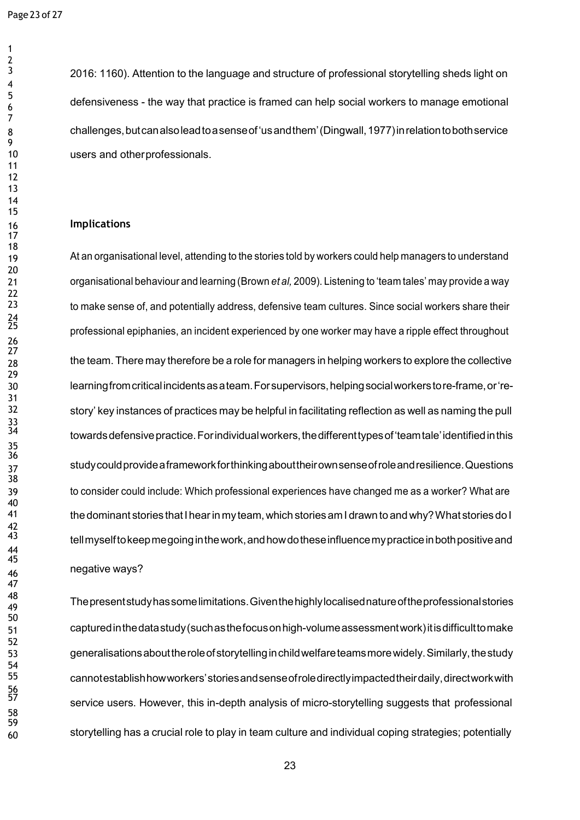2016: 1160). Attention to the language and structure of professional storytelling sheds light on defensiveness - the way that practice is framed can help social workers to manage emotional challenges,butcanalsoleadtoasenseof'usandthem'(Dingwall,1977)inrelationtobothservice users and otherprofessionals.

### **Implications**

19 At an organisational level, attending to the stories told by workers could help managers to understand organisational behaviour and learning (Brown *et al,* 2009). Listening to 'team tales' may provide a way to make sense of, and potentially address, defensive team cultures. Since social workers share their professional epiphanies, an incident experienced by one worker may have a ripple effect throughout 28 the team. There may therefore be a role for managers in helping workers to explore the collective learningfromcriticalincidentsasateam.Forsupervisors,helpingsocialworkerstore-frame,or'restory' key instances of practices may be helpful in facilitating reflection as well as naming the pull towards defensive practice. For individual workers, the different types of 'team tale' identified in this studycouldprovideaframeworkforthinkingabouttheirownsenseofroleandresilience.Questions to consider could include: Which professional experiences have changed me as a worker? What are thedominant stories thatIhearin my team, which stories amI drawn to andwhy?What storiesdo I tell myself to keep me going in the work, and how do these influence my practice in both positive and negative ways?

 Thepresentstudyhassomelimitations.Giventhehighlylocalisednatureoftheprofessionalstories capturedinthedatastudy(suchasthefocusonhigh-volumeassessmentwork)itisdifficulttomake generalisationsabouttheroleofstorytellinginchildwelfareteamsmorewidely.Similarly,thestudy cannotestablishhowworkers'storiesandsenseofroledirectlyimpactedtheirdaily,directworkwith service users. However, this in-depth analysis of micro-storytelling suggests that professional storytelling has a crucial role to play in team culture and individual coping strategies; potentially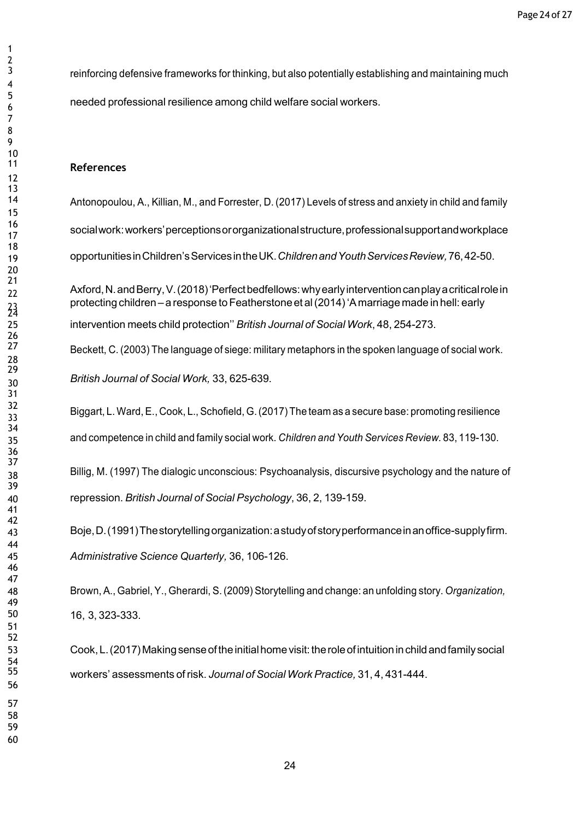reinforcing defensive frameworks for thinking, but also potentially establishing and maintaining much needed professional resilience among child welfare social workers.

### **References**

 Antonopoulou, A., Killian, M., and Forrester, D. (2017) Levels of stress and anxiety in child and family socialwork:workers'perceptionsororganizationalstructure,professionalsupportandworkplace opportunitiesinChildren'sServicesintheUK.*ChildrenandYouthServicesReview,*76,42-50.

 Axford,N.andBerry,V.(2018)'Perfectbedfellows:whyearlyinterventioncanplayacriticalrolein protecting children – a response to Featherstone et al (2014) 'A marriage made in hell: early intervention meets child protection'' *British Journal of Social Work*, 48, 254-273.

Beckett, C. (2003) The language of siege: military metaphors in the spoken language of social work.

*British Journal of Social Work,* 33, 625-639.

Biggart, L. Ward, E., Cook, L., Schofield, G.(2017) The team as <sup>a</sup> secure base: promoting resilience

and competence in child and family social work. *Children and Youth Services Review.* 83, 119-130.

38 Billig, M. (1997) The dialogic unconscious: Psychoanalysis, discursive psychology and the nature of repression. *British Journal of Social Psychology*, 36, 2, 139-159.

 Boje,D.(1991)Thestorytellingorganization:astudyofstoryperformanceinanoffice-supplyfirm. *Administrative Science Quarterly,* 36, 106-126.

 Brown, A., Gabriel, Y., Gherardi, S. (2009) Storytelling and change: an unfolding story. *Organization,* 16, 3, 323-333.

 Cook,L.(2017)Makingsenseoftheinitialhomevisit:theroleofintuitioninchild andfamilysocial workers' assessments of risk. *Journal of SocialWork Practice,* 31, 4, 431-444.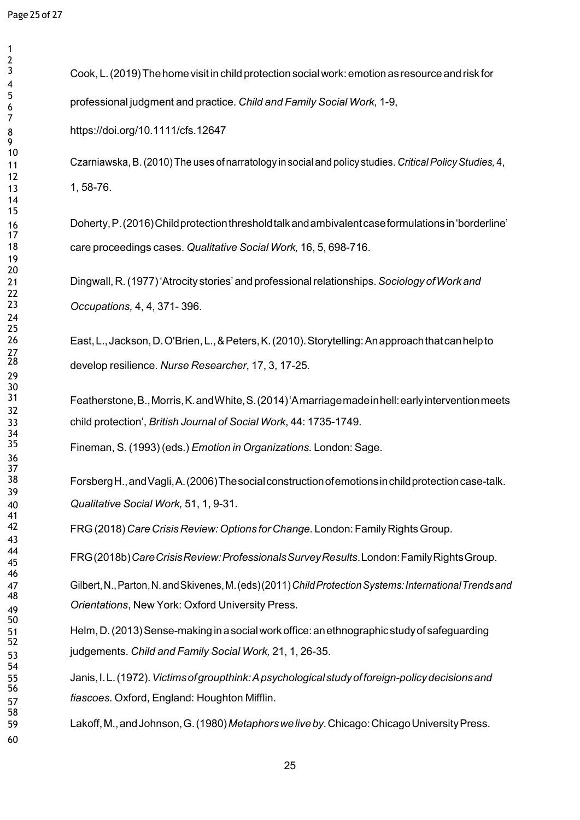Cook, L.(2019)Thehomevisit in child protection socialwork:emotionasresource andrisk for professional judgment and practice. *Child and Family Social Work,* 1-9,

https://doi.org/10.1111/cfs.12647

 Czarniawska,B.(2010)The uses of narratology in social and policy studies. *CriticalPolicyStudies,* 4, 1, 58-76.

 Doherty,P.(2016)Childprotectionthresholdtalkandambivalentcaseformulationsin'borderline' care proceedings cases. *Qualitative Social Work,* 16, 5, 698-716.

 Dingwall, R.(1977)'Atrocity stories'and professionalrelationships.*Sociology ofWork and Occupations,* 4, 4, 371- 396.

 East,L.,Jackson,D.O'Brien,L.,&Peters,K.(2010).Storytelling:Anapproachthatcanhelpto develop resilience. *Nurse Researcher*, 17, 3, 17-25.

 Featherstone,B.,Morris,K.andWhite,S.(2014)'Amarriagemadeinhell:earlyinterventionmeets child protection', *British Journal of Social Work*, 44: 1735-1749.

Fineman, S. (1993) (eds.) *Emotion in Organizations.* London: Sage.

 ForsbergH.,andVagli,A.(2006)Thesocialconstructionofemotionsinchildprotectioncase-talk. *Qualitative Social Work,* 51, 1, 9-31.

FRG(2018) *Care Crisis Review:Options forChange.* London: FamilyRightsGroup.

FRG(2018b)*CareCrisisReview:ProfessionalsSurveyResults*.London:FamilyRightsGroup.

 Gilbert,N.,Parton,N.andSkivenes,M.(eds)(2011)*ChildProtectionSystems:InternationalTrendsand Orientations*, New York: Oxford University Press.

 Helm,D.(2013)Sense-making inasocialwork office:anethnographic studyof safeguarding judgements. *Child and Family Social Work,* 21, 1, 26-35.

 Janis,I.L.(1972).*Victimsofgroupthink:Apsychologicalstudyofforeign-policydecisionsand fiascoes.* Oxford, England: Houghton Mifflin.

Lakoff,M.,andJohnson,G.(1980)*Metaphorsweliveby.*Chicago:ChicagoUniversityPress.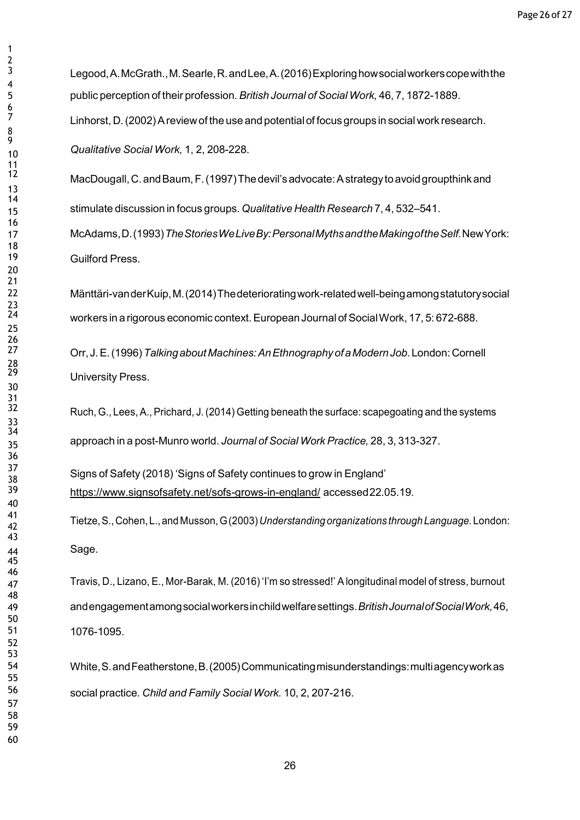Legood, A. McGrath., M. Searle, R. and Lee, A. (2016) Exploring how social workers cope with the public perception of their profession. *British Journal of SocialWork,* 46, 7, 1872-1889. Linhorst, D. (2002) A review of the use and potential of focus groups in social work research. *Qualitative Social Work,* 1, 2, 208-228.

MacDougall, C. and Baum, F. (1997) The devil's advocate: A strategy to avoid groupthink and stimulate discussion in focus groups. *Qualitative Health Research* 7, 4, 532–541. McAdams,D.(1993)*TheStoriesWeLiveBy:PersonalMythsandtheMakingoftheSelf.*NewYork: Guilford Press.

 Mänttäri-vanderKuip,M.(2014)Thedeterioratingwork-relatedwell-beingamongstatutorysocial workers in a rigorous economic context. European Journal of Social Work, 17, 5: 672-688.

> Orr, J.E.(1996)*Talkingabout Machines:AnEthnographyofaModernJob.*London:Cornell University Press.

Ruch, G., Lees, A., Prichard, J. (2014) Getting beneath the surface: scapegoating and the systems approach in a post-Munro world. *Journal of Social Work Practice,* 28, 3, 313-327.

 Signs of Safety (2018) 'Signs of Safety continues to grow in England' <https://www.signsofsafety.net/sofs-grows-in-england/> accessed22.05.19.

 Tietze,S.,Cohen,L.,andMusson,G(2003)*Understandingorganizations through Language.* London: Sage.

 Travis, D., Lizano, E., Mor-Barak, M. (2016) 'I'm so stressed!' A longitudinal model of stress, burnout andengagementamongsocialworkersinchildwelfaresettings.*BritishJournalofSocialWork,*46, 1076-1095.

 White,S.andFeatherstone,B.(2005)Communicatingmisunderstandings:multiagencyworkas social practice. *Child and Family Social Work.* 10, 2, 207-216.